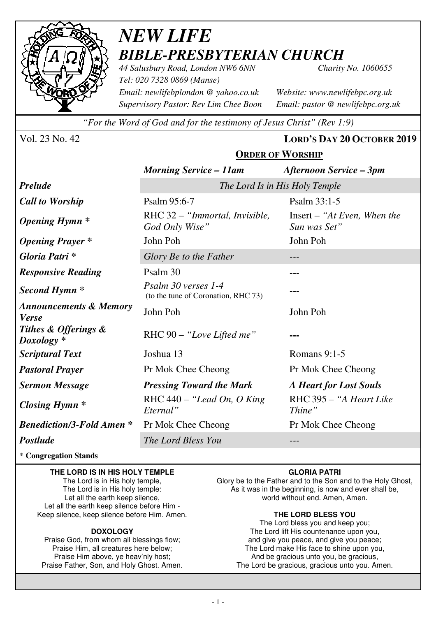

## *NEW LIFE BIBLE-PRESBYTERIAN CHURCH*

*44 Salusbury Road, London NW6 6NN Charity No. 1060655 Tel: 020 7328 0869 (Manse) Email: newlifebplondon @ yahoo.co.uk Website: www.newlifebpc.org.uk Supervisory Pastor: Rev Lim Chee Boon Email: pastor @ newlifebpc.org.uk* 

*"For the Word of God and for the testimony of Jesus Christ" (Rev 1:9)*

Vol. 23 No. 42 **LORD'S DAY 20 OCTOBER 2019**

## **ORDER OF WORSHIP**

|                                                   | <b>Morning Service – 11am</b>                              | <b>Afternoon Service – 3pm</b>              |  |  |
|---------------------------------------------------|------------------------------------------------------------|---------------------------------------------|--|--|
| <b>Prelude</b>                                    | The Lord Is in His Holy Temple                             |                                             |  |  |
| <b>Call to Worship</b>                            | Psalm 95:6-7                                               | Psalm 33:1-5                                |  |  |
| <b>Opening Hymn</b> *                             | RHC 32 – "Immortal, Invisible,<br>God Only Wise"           | Insert – "At Even, When the<br>Sun was Set" |  |  |
| <b>Opening Prayer</b> *                           | John Poh<br>John Poh                                       |                                             |  |  |
| Gloria Patri*                                     | Glory Be to the Father                                     |                                             |  |  |
| <b>Responsive Reading</b>                         | Psalm 30                                                   | ---                                         |  |  |
| Second Hymn <sup>*</sup>                          | Psalm 30 verses 1-4<br>(to the tune of Coronation, RHC 73) |                                             |  |  |
| <b>Announcements &amp; Memory</b><br><b>Verse</b> | John Poh                                                   | John Poh                                    |  |  |
| Tithes & Offerings &<br>$Doxology *$              | RHC 90 – "Love Lifted me"                                  |                                             |  |  |
| <b>Scriptural Text</b>                            | Joshua 13                                                  | Romans 9:1-5                                |  |  |
| <b>Pastoral Prayer</b>                            | Pr Mok Chee Cheong                                         | Pr Mok Chee Cheong                          |  |  |
| <b>Sermon Message</b>                             | <b>Pressing Toward the Mark</b>                            | <b>A Heart for Lost Souls</b>               |  |  |
| Closing Hymn $*$                                  | RHC $440 -$ "Lead On, O King"<br>Eternal"                  | RHC 395 - "A Heart Like<br>Thine"           |  |  |
| <b>Benediction/3-Fold Amen*</b>                   | Pr Mok Chee Cheong                                         | Pr Mok Chee Cheong                          |  |  |
| <b>Postlude</b>                                   | The Lord Bless You                                         |                                             |  |  |

\* **Congregation Stands** 

### **THE LORD IS IN HIS HOLY TEMPLE**

The Lord is in His holy temple, The Lord is in His holy temple: Let all the earth keep silence, Let all the earth keep silence before Him - Keep silence, keep silence before Him. Amen.

#### **DOXOLOGY**

Praise God, from whom all blessings flow; Praise Him, all creatures here below; Praise Him above, ye heav'nly host; Praise Father, Son, and Holy Ghost. Amen.

### **GLORIA PATRI**

Glory be to the Father and to the Son and to the Holy Ghost, As it was in the beginning, is now and ever shall be, world without end. Amen, Amen.

#### **THE LORD BLESS YOU**

The Lord bless you and keep you; The Lord lift His countenance upon you, and give you peace, and give you peace; The Lord make His face to shine upon you, And be gracious unto you, be gracious, The Lord be gracious, gracious unto you. Amen.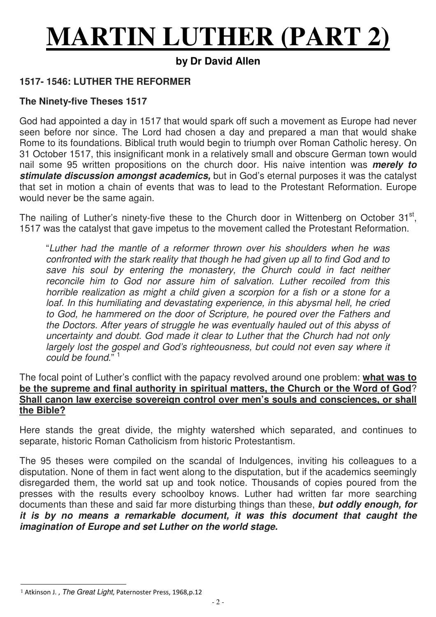# **MARTIN LUTHER (PART 2)**

## **by Dr David Allen**

## **1517- 1546: LUTHER THE REFORMER**

## **The Ninety-five Theses 1517**

God had appointed a day in 1517 that would spark off such a movement as Europe had never seen before nor since. The Lord had chosen a day and prepared a man that would shake Rome to its foundations. Biblical truth would begin to triumph over Roman Catholic heresy. On 31 October 1517, this insignificant monk in a relatively small and obscure German town would nail some 95 written propositions on the church door. His naive intention was **merely to stimulate discussion amongst academics,** but in God's eternal purposes it was the catalyst that set in motion a chain of events that was to lead to the Protestant Reformation. Europe would never be the same again.

The nailing of Luther's ninety-five these to the Church door in Wittenberg on October 31<sup>st</sup>, 1517 was the catalyst that gave impetus to the movement called the Protestant Reformation.

"Luther had the mantle of a reformer thrown over his shoulders when he was confronted with the stark reality that though he had given up all to find God and to save his soul by entering the monastery, the Church could in fact neither reconcile him to God nor assure him of salvation. Luther recoiled from this horrible realization as might a child given a scorpion for a fish or a stone for a loaf. In this humiliating and devastating experience, in this abysmal hell, he cried to God, he hammered on the door of Scripture, he poured over the Fathers and the Doctors. After years of struggle he was eventually hauled out of this abyss of uncertainty and doubt. God made it clear to Luther that the Church had not only largely lost the gospel and God's righteousness, but could not even say where it could be found.<sup>" 1</sup>

## The focal point of Luther's conflict with the papacy revolved around one problem: **what was to be the supreme and final authority in spiritual matters, the Church or the Word of God**? **Shall canon law exercise sovereign control over men's souls and consciences, or shall the Bible?**

Here stands the great divide, the mighty watershed which separated, and continues to separate, historic Roman Catholicism from historic Protestantism.

The 95 theses were compiled on the scandal of Indulgences, inviting his colleagues to a disputation. None of them in fact went along to the disputation, but if the academics seemingly disregarded them, the world sat up and took notice. Thousands of copies poured from the presses with the results every schoolboy knows. Luther had written far more searching documents than these and said far more disturbing things than these, **but oddly enough, for it is by no means a remarkable document, it was this document that caught the imagination of Europe and set Luther on the world stage.**

j <sup>1</sup> Atkinson J., The Great Light, Paternoster Press, 1968,p.12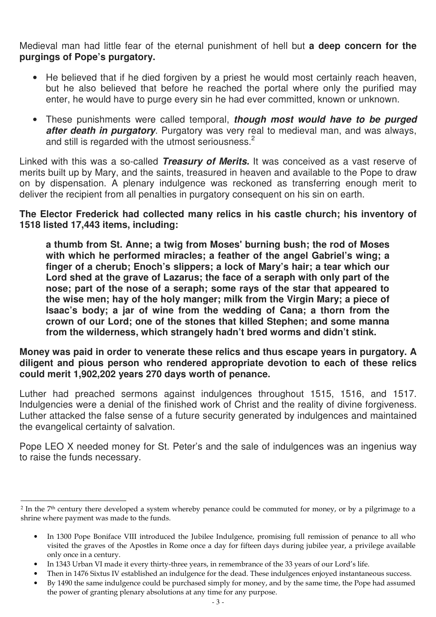Medieval man had little fear of the eternal punishment of hell but **a deep concern for the purgings of Pope's purgatory.**

- He believed that if he died forgiven by a priest he would most certainly reach heaven, but he also believed that before he reached the portal where only the purified may enter, he would have to purge every sin he had ever committed, known or unknown.
- These punishments were called temporal, **though most would have to be purged after death in purgatory**. Purgatory was very real to medieval man, and was always, and still is regarded with the utmost seriousness.<sup>2</sup>

Linked with this was a so-called **Treasury of Merits.** It was conceived as a vast reserve of merits built up by Mary, and the saints, treasured in heaven and available to the Pope to draw on by dispensation. A plenary indulgence was reckoned as transferring enough merit to deliver the recipient from all penalties in purgatory consequent on his sin on earth.

**The Elector Frederick had collected many relics in his castle church; his inventory of 1518 listed 17,443 items, including:** 

**a thumb from St. Anne; a twig from Moses' burning bush; the rod of Moses with which he performed miracles; a feather of the angel Gabriel's wing; a finger of a cherub; Enoch's slippers; a lock of Mary's hair; a tear which our Lord shed at the grave of Lazarus; the face of a seraph with only part of the nose; part of the nose of a seraph; some rays of the star that appeared to the wise men; hay of the holy manger; milk from the Virgin Mary; a piece of Isaac's body; a jar of wine from the wedding of Cana; a thorn from the crown of our Lord; one of the stones that killed Stephen; and some manna from the wilderness, which strangely hadn't bred worms and didn't stink.** 

**Money was paid in order to venerate these relics and thus escape years in purgatory. A diligent and pious person who rendered appropriate devotion to each of these relics could merit 1,902,202 years 270 days worth of penance.** 

Luther had preached sermons against indulgences throughout 1515, 1516, and 1517. Indulgencies were a denial of the finished work of Christ and the reality of divine forgiveness. Luther attacked the false sense of a future security generated by indulgences and maintained the evangelical certainty of salvation.

Pope LEO X needed money for St. Peter's and the sale of indulgences was an ingenius way to raise the funds necessary.

• In 1343 Urban VI made it every thirty-three years, in remembrance of the 33 years of our Lord's life.

j

- Then in 1476 Sixtus IV established an indulgence for the dead. These indulgences enjoyed instantaneous success.
- By 1490 the same indulgence could be purchased simply for money, and by the same time, the Pope had assumed the power of granting plenary absolutions at any time for any purpose.

<sup>&</sup>lt;sup>2</sup> In the 7<sup>th</sup> century there developed a system whereby penance could be commuted for money, or by a pilgrimage to a shrine where payment was made to the funds.

<sup>•</sup> In 1300 Pope Boniface VIII introduced the Jubilee Indulgence, promising full remission of penance to all who visited the graves of the Apostles in Rome once a day for fifteen days during jubilee year, a privilege available only once in a century.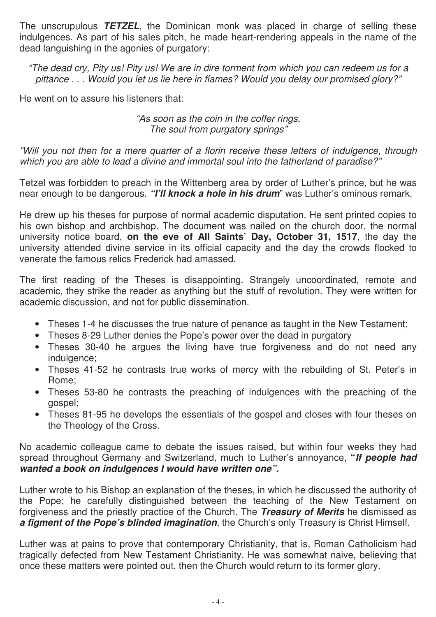The unscrupulous **TETZEL**, the Dominican monk was placed in charge of selling these indulgences. As part of his sales pitch, he made heart-rendering appeals in the name of the dead languishing in the agonies of purgatory:

"The dead cry, Pity us! Pity us! We are in dire torment from which you can redeem us for a pittance . . . Would you let us lie here in flames? Would you delay our promised glory?"

He went on to assure his listeners that:

## "As soon as the coin in the coffer rings, The soul from purgatory springs"

"Will you not then for a mere quarter of a florin receive these letters of indulgence, through which you are able to lead a divine and immortal soul into the fatherland of paradise?"

Tetzel was forbidden to preach in the Wittenberg area by order of Luther's prince, but he was near enough to be dangerous. **"I'll knock a hole in his drum**" was Luther's ominous remark.

He drew up his theses for purpose of normal academic disputation. He sent printed copies to his own bishop and archbishop. The document was nailed on the church door, the normal university notice board, **on the eve of All Saints' Day, October 31, 1517**, the day the university attended divine service in its official capacity and the day the crowds flocked to venerate the famous relics Frederick had amassed.

The first reading of the Theses is disappointing. Strangely uncoordinated, remote and academic, they strike the reader as anything but the stuff of revolution. They were written for academic discussion, and not for public dissemination.

- Theses 1-4 he discusses the true nature of penance as taught in the New Testament;
- Theses 8-29 Luther denies the Pope's power over the dead in purgatory
- Theses 30-40 he argues the living have true forgiveness and do not need any indulgence:
- Theses 41-52 he contrasts true works of mercy with the rebuilding of St. Peter's in Rome;
- Theses 53-80 he contrasts the preaching of indulgences with the preaching of the gospel;
- Theses 81-95 he develops the essentials of the gospel and closes with four theses on the Theology of the Cross.

No academic colleague came to debate the issues raised, but within four weeks they had spread throughout Germany and Switzerland, much to Luther's annoyance, **"If people had wanted a book on indulgences I would have written one".** 

Luther wrote to his Bishop an explanation of the theses, in which he discussed the authority of the Pope; he carefully distinguished between the teaching of the New Testament on forgiveness and the priestly practice of the Church. The **Treasury of Merits** he dismissed as **a figment of the Pope's blinded imagination**, the Church's only Treasury is Christ Himself.

Luther was at pains to prove that contemporary Christianity, that is, Roman Catholicism had tragically defected from New Testament Christianity. He was somewhat naive, believing that once these matters were pointed out, then the Church would return to its former glory.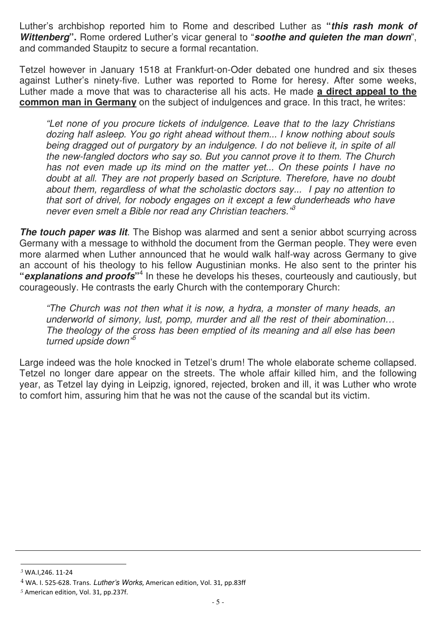Luther's archbishop reported him to Rome and described Luther as **"this rash monk of Wittenberg".** Rome ordered Luther's vicar general to "**soothe and quieten the man down**", and commanded Staupitz to secure a formal recantation.

Tetzel however in January 1518 at Frankfurt-on-Oder debated one hundred and six theses against Luther's ninety-five. Luther was reported to Rome for heresy. After some weeks, Luther made a move that was to characterise all his acts. He made **a direct appeal to the common man in Germany** on the subject of indulgences and grace. In this tract, he writes:

"Let none of you procure tickets of indulgence. Leave that to the lazy Christians dozing half asleep. You go right ahead without them... I know nothing about souls being dragged out of purgatory by an indulgence. I do not believe it, in spite of all the new-fangled doctors who say so. But you cannot prove it to them. The Church has not even made up its mind on the matter yet... On these points I have no doubt at all. They are not properly based on Scripture. Therefore, have no doubt about them, regardless of what the scholastic doctors say... I pay no attention to that sort of drivel, for nobody engages on it except a few dunderheads who have never even smelt a Bible nor read any Christian teachers.<sup>13</sup>

**The touch paper was lit**. The Bishop was alarmed and sent a senior abbot scurrying across Germany with a message to withhold the document from the German people. They were even more alarmed when Luther announced that he would walk half-way across Germany to give an account of his theology to his fellow Augustinian monks. He also sent to the printer his "**explanations and proofs**"<sup>4</sup> In these he develops his theses, courteously and cautiously, but courageously. He contrasts the early Church with the contemporary Church:

"The Church was not then what it is now, a hydra, a monster of many heads, an underworld of simony, lust, pomp, murder and all the rest of their abomination... The theology of the cross has been emptied of its meaning and all else has been turned upside down $<sup>5</sup>$ </sup>

Large indeed was the hole knocked in Tetzel's drum! The whole elaborate scheme collapsed. Tetzel no longer dare appear on the streets. The whole affair killed him, and the following year, as Tetzel lay dying in Leipzig, ignored, rejected, broken and ill, it was Luther who wrote to comfort him, assuring him that he was not the cause of the scandal but its victim.

-

*<sup>3</sup>* WA.I,246. 11-24

<sup>4</sup> WA. I. 525-628. Trans. Luther's Works, American edition, Vol. 31, pp.83ff

*<sup>5</sup>* American edition, Vol. 31, pp.237f.